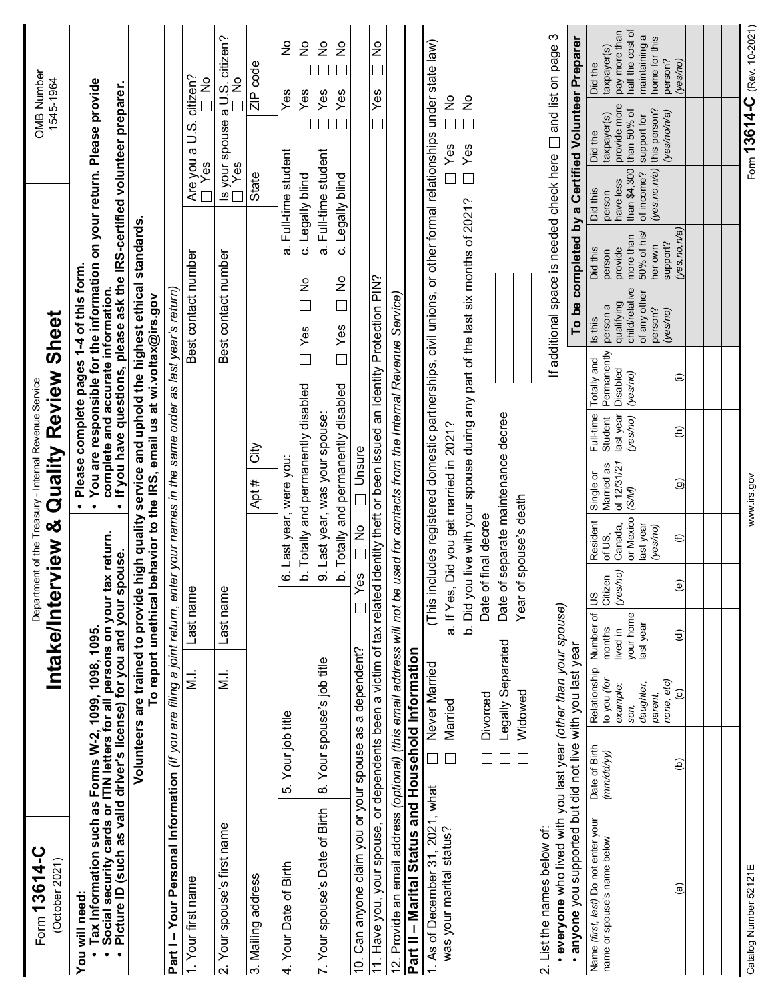| Form 13614-C<br>(October 2021)                                                                                                                                                                                              |                                                                                                                                                                      |                                        | Intake/Interview & Qu                                                          |                        |                                                           | Department of the Treasury - Internal Revenue Service                | ality Review                                           |                                     | Sheet                                                                                     |                                |                                           | OMB Number<br>1545-1964                                                                                                                                                                     |                                                  |
|-----------------------------------------------------------------------------------------------------------------------------------------------------------------------------------------------------------------------------|----------------------------------------------------------------------------------------------------------------------------------------------------------------------|----------------------------------------|--------------------------------------------------------------------------------|------------------------|-----------------------------------------------------------|----------------------------------------------------------------------|--------------------------------------------------------|-------------------------------------|-------------------------------------------------------------------------------------------|--------------------------------|-------------------------------------------|---------------------------------------------------------------------------------------------------------------------------------------------------------------------------------------------|--------------------------------------------------|
| Tax Information such as Forms W-2, 1099, 1098, 1095.<br>Social security cards or ITIN letters for all persons on your tax return.<br>Picture ID (such as valid driver's license) for you and your spouse.<br>You will need: | Volunteers are trained to provide high quality service and uphold the highest ethic<br>To report unethical behavior to the IRS, email us at <u>wi voltax@irs.gov</u> |                                        |                                                                                |                        |                                                           |                                                                      |                                                        |                                     | ice and uphold the highest ethical standards<br>· Please complete pages 1-4 of this form. |                                |                                           | • You are responsible for the information on your return. Please provide<br>complete and accurate information.<br>• If you have questions, please ask the IRS-certified volunteer preparer. |                                                  |
| Part I - Your Personal Information (If you are filing a joint return, enter your names in                                                                                                                                   |                                                                                                                                                                      |                                        |                                                                                |                        |                                                           |                                                                      |                                                        |                                     | the same order as last year's return)                                                     |                                |                                           |                                                                                                                                                                                             |                                                  |
| Your first name                                                                                                                                                                                                             |                                                                                                                                                                      | $\frac{1}{2}$                          | Last name                                                                      |                        |                                                           |                                                                      |                                                        |                                     | Best contact number                                                                       |                                | Are you a l<br>I Yes                      | $\begin{array}{c} \text{citizen?} \\ \Box \ \mathsf{No} \end{array}$<br>ος<br>⊃                                                                                                             |                                                  |
| 2. Your spouse's first name                                                                                                                                                                                                 |                                                                                                                                                                      | $\frac{1}{2}$                          | Last name                                                                      |                        |                                                           |                                                                      |                                                        |                                     | Best contact number                                                                       |                                |                                           | $rac{a}{\sqrt{2}}$ No<br>ls your spouse<br>□ Yes                                                                                                                                            | citizen?                                         |
| 3. Mailing address                                                                                                                                                                                                          |                                                                                                                                                                      |                                        |                                                                                |                        |                                                           | út<br>#<br>Apt                                                       |                                                        |                                     |                                                                                           |                                | State                                     |                                                                                                                                                                                             | ZIP code                                         |
| 4. Your Date of Birth                                                                                                                                                                                                       | 5. Your job title                                                                                                                                                    |                                        |                                                                                | .<br>ف                 |                                                           | Totally and permanently disabled<br>6. Last year, were you:          |                                                        | $\boxed{\phantom{1}}$               | $\frac{1}{2}$<br>$\Box$<br>Yes                                                            | C                              | a. Full-time student<br>Legally blind     | Yes<br>Yes<br>$\overline{\phantom{0}}$                                                                                                                                                      | ž<br>$\frac{1}{2}$<br>$\overline{\phantom{0}}$   |
| 7. Your spouse's Date of Birth                                                                                                                                                                                              | 8. Your spouse's job title                                                                                                                                           |                                        |                                                                                |                        |                                                           | b. Totally and permanently disabled<br>9. Last year, was your spouse |                                                        |                                     | e<br>□<br>$\Box$ Yes                                                                      | ά,<br>$\mathbf C$              | Full-time student<br><b>Legally blind</b> | Yes<br>Yes<br>$\overline{\phantom{0}}$                                                                                                                                                      | $\frac{1}{2}$<br>$\frac{1}{2}$                   |
| 10. Can anyone claim you or your spouse as a dependent?                                                                                                                                                                     |                                                                                                                                                                      |                                        |                                                                                | Yes                    | $\frac{1}{2}$                                             | Unsure                                                               |                                                        |                                     |                                                                                           |                                |                                           |                                                                                                                                                                                             |                                                  |
| 11. Have you, your spouse, or dependents been a victim of tax related identity theft or been issued an Identity Protection PIN?                                                                                             |                                                                                                                                                                      |                                        |                                                                                |                        |                                                           |                                                                      |                                                        |                                     |                                                                                           |                                |                                           | Yes<br>$\Box$                                                                                                                                                                               | $\frac{1}{2}$<br>$\Box$                          |
| 12. Provide an email address (optional) (this email address will not be used for contacts<br>Part II - Marital Status and Household Information                                                                             |                                                                                                                                                                      |                                        |                                                                                |                        |                                                           |                                                                      |                                                        |                                     | from the Internal Revenue Service)                                                        |                                |                                           |                                                                                                                                                                                             |                                                  |
| 1. As of December 31, 2021, what<br>was your marital status?                                                                                                                                                                | Married<br>$\Box$<br>$\Box$                                                                                                                                          | Never Married                          |                                                                                |                        | (This includes registered<br>a. If Yes, Did you get marri | ed in 2021                                                           | ᠭ                                                      |                                     |                                                                                           |                                |                                           | domestic partnerships, civil unions, or other formal relationships under state law)<br>$\frac{1}{2}$<br>Yes                                                                                 |                                                  |
|                                                                                                                                                                                                                             |                                                                                                                                                                      | Divorced                               |                                                                                |                        | b. Did you live with your sp<br>Date of final decree      |                                                                      |                                                        |                                     | ouse during any part of the last six months of 2021?                                      |                                |                                           | $\frac{1}{2}$<br>Yes                                                                                                                                                                        |                                                  |
|                                                                                                                                                                                                                             | $\Box$<br>$\Box$                                                                                                                                                     | Legally Separated<br>Widowed           |                                                                                |                        | Date of separate mainte<br>Year of spouse's death         |                                                                      | nance decree                                           |                                     |                                                                                           |                                |                                           |                                                                                                                                                                                             |                                                  |
| everyone who lived with you last year (other than your spouse)<br>. anyone you supported but did not live with you last year<br>2. List the names below of:                                                                 |                                                                                                                                                                      |                                        |                                                                                |                        |                                                           |                                                                      |                                                        |                                     |                                                                                           |                                |                                           | If additional space is needed check here $\Box$ and list on page 3<br>To be completed by a Certified Volunteer Preparer                                                                     |                                                  |
| Name (first, last) Do not enter your                                                                                                                                                                                        |                                                                                                                                                                      | Relationship                           |                                                                                |                        | Resident                                                  |                                                                      |                                                        | Totally and                         | Is this                                                                                   | Did this                       | Did this                                  | Did the                                                                                                                                                                                     | Did the                                          |
| name or spouse's name below                                                                                                                                                                                                 | Date of Birth<br>(mm/dd/yy)                                                                                                                                          | to you <i>(for</i><br>example:<br>son, | Number of US<br>months Citizen<br>months<br>lived in<br>your home<br>last year | (yes/no)               | or Mexico<br>Canada,<br>of US,                            | æ<br>of 12/31/2:<br>(S/M)<br>Single or<br>Married as                 | Full-time<br>Student<br>last year<br>(ye <i>s/no</i> ) | Permanently<br>Disabled<br>(yes/no) | qualifying<br>child/relative<br>of any other<br>person?<br>person a                       | more than<br>provide<br>person | have less<br>person                       | provide more<br>than 50% of<br>taxpayer(s)                                                                                                                                                  | pay more than<br>half the cost of<br>taxpayer(s) |
|                                                                                                                                                                                                                             |                                                                                                                                                                      | daughter,<br>parent,                   |                                                                                |                        | last year<br>(yes/no)                                     |                                                                      |                                                        |                                     |                                                                                           | 50% of his/<br>her own         | (yes, no, n/a)<br>of income?              | support for<br>this person?                                                                                                                                                                 | maintaining a<br>home for this                   |
| $\widehat{a}$                                                                                                                                                                                                               | e)                                                                                                                                                                   | etc)<br>$\widehat{\circ}$<br>none,     | $\widehat{\sigma}$                                                             | $\widehat{\mathbf{e}}$ | $\in$                                                     | து                                                                   | $\widehat{\epsilon}$                                   | $\widehat{=}$                       | (yes/no)                                                                                  | (yes, no, n/a)<br>support?     |                                           | (yes/no/n/a)                                                                                                                                                                                | person?<br>(yes/no)                              |
|                                                                                                                                                                                                                             |                                                                                                                                                                      |                                        |                                                                                |                        |                                                           |                                                                      |                                                        |                                     |                                                                                           |                                |                                           |                                                                                                                                                                                             |                                                  |
|                                                                                                                                                                                                                             |                                                                                                                                                                      |                                        |                                                                                |                        |                                                           |                                                                      |                                                        |                                     |                                                                                           |                                |                                           |                                                                                                                                                                                             |                                                  |
| Catalog Number 52121E                                                                                                                                                                                                       |                                                                                                                                                                      |                                        |                                                                                |                        |                                                           | www.irs.gov                                                          |                                                        |                                     |                                                                                           |                                | Form <sup>-</sup>                         | 13614-C                                                                                                                                                                                     | (Rev. 10-2021)                                   |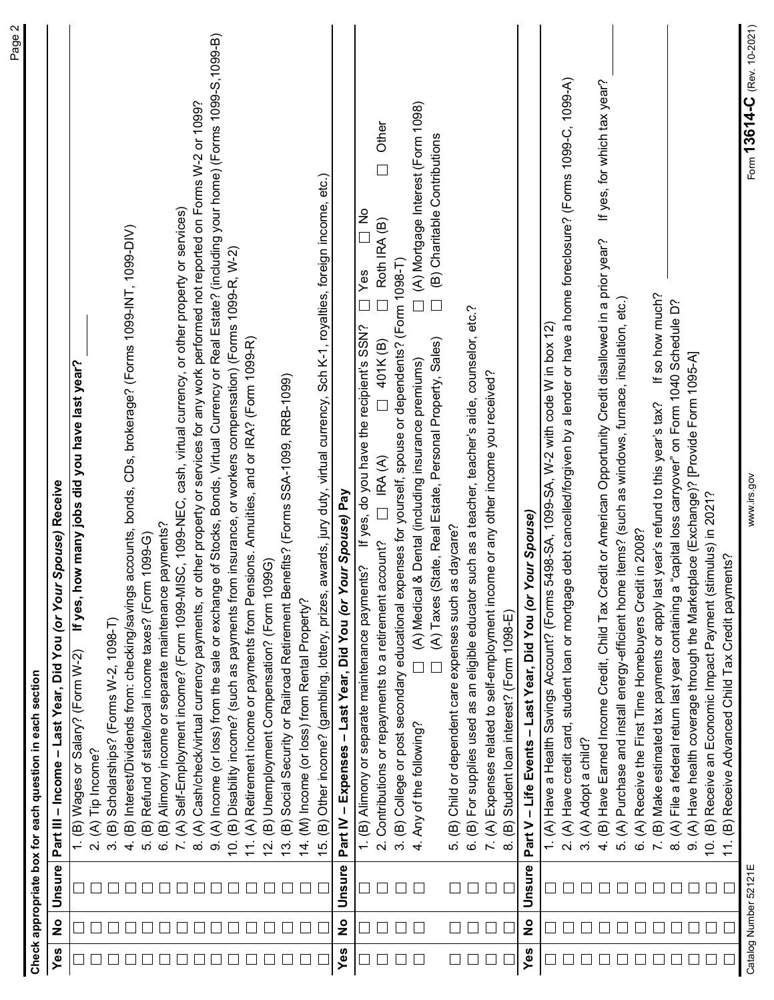| Income (or loss) from the sale or exchange of Stocks, Bonds, Virtual Currency or Real Estate? (including your home) (Forms 1099-S, 1099-B)<br>debt cancelled/forgiven by a lender or have a home foreclosure? (Forms 1099-C, 1099-A)<br>$\Box$ (A) Mortgage Interest (Form 1098)<br>Cash/check/virtual currency payments, or other property or services for any work performed not reported on Forms W-2 or 1099?<br>Other<br>(B) Charitable Contributions<br>$\Box$<br>15. (B) Other income? (gambling, lottery, prizes, awards, jury duty, virtual currency, Sch K-1, royalties, foreign income, etc.)<br>Self-Employment income? (Form 1099-MISC, 1099-NEC, cash, virtual currency, or other property or services)<br>$\frac{1}{2}$<br>Roth IRA (B)<br>accounts, bonds, CDs, brokerage? (Forms 1099-INT, 1099-DIV)<br>Have Earned Income Credit, Child Tax Credit or American Opportunity Credit disallowed in a prior year?<br>Disability income? (such as payments from insurance, or workers compensation) (Forms 1099-R, W-2)<br>3. (B) College or post secondary educational expenses for yourself, spouse or dependents? (Form 1098-T)<br>Yes<br>If so how much?<br>$\square$<br>$\square$<br>$\Box$<br>items? (such as windows, furnace, insulation, etc.)<br> |                             |
|--------------------------------------------------------------------------------------------------------------------------------------------------------------------------------------------------------------------------------------------------------------------------------------------------------------------------------------------------------------------------------------------------------------------------------------------------------------------------------------------------------------------------------------------------------------------------------------------------------------------------------------------------------------------------------------------------------------------------------------------------------------------------------------------------------------------------------------------------------------------------------------------------------------------------------------------------------------------------------------------------------------------------------------------------------------------------------------------------------------------------------------------------------------------------------------------------------------------------------------------------------------------------|-----------------------------|
|                                                                                                                                                                                                                                                                                                                                                                                                                                                                                                                                                                                                                                                                                                                                                                                                                                                                                                                                                                                                                                                                                                                                                                                                                                                                          |                             |
|                                                                                                                                                                                                                                                                                                                                                                                                                                                                                                                                                                                                                                                                                                                                                                                                                                                                                                                                                                                                                                                                                                                                                                                                                                                                          |                             |
|                                                                                                                                                                                                                                                                                                                                                                                                                                                                                                                                                                                                                                                                                                                                                                                                                                                                                                                                                                                                                                                                                                                                                                                                                                                                          |                             |
|                                                                                                                                                                                                                                                                                                                                                                                                                                                                                                                                                                                                                                                                                                                                                                                                                                                                                                                                                                                                                                                                                                                                                                                                                                                                          |                             |
|                                                                                                                                                                                                                                                                                                                                                                                                                                                                                                                                                                                                                                                                                                                                                                                                                                                                                                                                                                                                                                                                                                                                                                                                                                                                          |                             |
|                                                                                                                                                                                                                                                                                                                                                                                                                                                                                                                                                                                                                                                                                                                                                                                                                                                                                                                                                                                                                                                                                                                                                                                                                                                                          |                             |
|                                                                                                                                                                                                                                                                                                                                                                                                                                                                                                                                                                                                                                                                                                                                                                                                                                                                                                                                                                                                                                                                                                                                                                                                                                                                          |                             |
|                                                                                                                                                                                                                                                                                                                                                                                                                                                                                                                                                                                                                                                                                                                                                                                                                                                                                                                                                                                                                                                                                                                                                                                                                                                                          |                             |
|                                                                                                                                                                                                                                                                                                                                                                                                                                                                                                                                                                                                                                                                                                                                                                                                                                                                                                                                                                                                                                                                                                                                                                                                                                                                          |                             |
|                                                                                                                                                                                                                                                                                                                                                                                                                                                                                                                                                                                                                                                                                                                                                                                                                                                                                                                                                                                                                                                                                                                                                                                                                                                                          |                             |
|                                                                                                                                                                                                                                                                                                                                                                                                                                                                                                                                                                                                                                                                                                                                                                                                                                                                                                                                                                                                                                                                                                                                                                                                                                                                          |                             |
|                                                                                                                                                                                                                                                                                                                                                                                                                                                                                                                                                                                                                                                                                                                                                                                                                                                                                                                                                                                                                                                                                                                                                                                                                                                                          |                             |
|                                                                                                                                                                                                                                                                                                                                                                                                                                                                                                                                                                                                                                                                                                                                                                                                                                                                                                                                                                                                                                                                                                                                                                                                                                                                          |                             |
|                                                                                                                                                                                                                                                                                                                                                                                                                                                                                                                                                                                                                                                                                                                                                                                                                                                                                                                                                                                                                                                                                                                                                                                                                                                                          |                             |
|                                                                                                                                                                                                                                                                                                                                                                                                                                                                                                                                                                                                                                                                                                                                                                                                                                                                                                                                                                                                                                                                                                                                                                                                                                                                          |                             |
|                                                                                                                                                                                                                                                                                                                                                                                                                                                                                                                                                                                                                                                                                                                                                                                                                                                                                                                                                                                                                                                                                                                                                                                                                                                                          |                             |
|                                                                                                                                                                                                                                                                                                                                                                                                                                                                                                                                                                                                                                                                                                                                                                                                                                                                                                                                                                                                                                                                                                                                                                                                                                                                          |                             |
|                                                                                                                                                                                                                                                                                                                                                                                                                                                                                                                                                                                                                                                                                                                                                                                                                                                                                                                                                                                                                                                                                                                                                                                                                                                                          |                             |
|                                                                                                                                                                                                                                                                                                                                                                                                                                                                                                                                                                                                                                                                                                                                                                                                                                                                                                                                                                                                                                                                                                                                                                                                                                                                          |                             |
|                                                                                                                                                                                                                                                                                                                                                                                                                                                                                                                                                                                                                                                                                                                                                                                                                                                                                                                                                                                                                                                                                                                                                                                                                                                                          |                             |
|                                                                                                                                                                                                                                                                                                                                                                                                                                                                                                                                                                                                                                                                                                                                                                                                                                                                                                                                                                                                                                                                                                                                                                                                                                                                          |                             |
|                                                                                                                                                                                                                                                                                                                                                                                                                                                                                                                                                                                                                                                                                                                                                                                                                                                                                                                                                                                                                                                                                                                                                                                                                                                                          |                             |
|                                                                                                                                                                                                                                                                                                                                                                                                                                                                                                                                                                                                                                                                                                                                                                                                                                                                                                                                                                                                                                                                                                                                                                                                                                                                          |                             |
|                                                                                                                                                                                                                                                                                                                                                                                                                                                                                                                                                                                                                                                                                                                                                                                                                                                                                                                                                                                                                                                                                                                                                                                                                                                                          |                             |
|                                                                                                                                                                                                                                                                                                                                                                                                                                                                                                                                                                                                                                                                                                                                                                                                                                                                                                                                                                                                                                                                                                                                                                                                                                                                          |                             |
|                                                                                                                                                                                                                                                                                                                                                                                                                                                                                                                                                                                                                                                                                                                                                                                                                                                                                                                                                                                                                                                                                                                                                                                                                                                                          |                             |
|                                                                                                                                                                                                                                                                                                                                                                                                                                                                                                                                                                                                                                                                                                                                                                                                                                                                                                                                                                                                                                                                                                                                                                                                                                                                          |                             |
|                                                                                                                                                                                                                                                                                                                                                                                                                                                                                                                                                                                                                                                                                                                                                                                                                                                                                                                                                                                                                                                                                                                                                                                                                                                                          |                             |
|                                                                                                                                                                                                                                                                                                                                                                                                                                                                                                                                                                                                                                                                                                                                                                                                                                                                                                                                                                                                                                                                                                                                                                                                                                                                          |                             |
|                                                                                                                                                                                                                                                                                                                                                                                                                                                                                                                                                                                                                                                                                                                                                                                                                                                                                                                                                                                                                                                                                                                                                                                                                                                                          |                             |
|                                                                                                                                                                                                                                                                                                                                                                                                                                                                                                                                                                                                                                                                                                                                                                                                                                                                                                                                                                                                                                                                                                                                                                                                                                                                          |                             |
|                                                                                                                                                                                                                                                                                                                                                                                                                                                                                                                                                                                                                                                                                                                                                                                                                                                                                                                                                                                                                                                                                                                                                                                                                                                                          |                             |
|                                                                                                                                                                                                                                                                                                                                                                                                                                                                                                                                                                                                                                                                                                                                                                                                                                                                                                                                                                                                                                                                                                                                                                                                                                                                          | If yes, for which tax year? |
|                                                                                                                                                                                                                                                                                                                                                                                                                                                                                                                                                                                                                                                                                                                                                                                                                                                                                                                                                                                                                                                                                                                                                                                                                                                                          |                             |
|                                                                                                                                                                                                                                                                                                                                                                                                                                                                                                                                                                                                                                                                                                                                                                                                                                                                                                                                                                                                                                                                                                                                                                                                                                                                          |                             |
|                                                                                                                                                                                                                                                                                                                                                                                                                                                                                                                                                                                                                                                                                                                                                                                                                                                                                                                                                                                                                                                                                                                                                                                                                                                                          |                             |
|                                                                                                                                                                                                                                                                                                                                                                                                                                                                                                                                                                                                                                                                                                                                                                                                                                                                                                                                                                                                                                                                                                                                                                                                                                                                          |                             |
|                                                                                                                                                                                                                                                                                                                                                                                                                                                                                                                                                                                                                                                                                                                                                                                                                                                                                                                                                                                                                                                                                                                                                                                                                                                                          |                             |
|                                                                                                                                                                                                                                                                                                                                                                                                                                                                                                                                                                                                                                                                                                                                                                                                                                                                                                                                                                                                                                                                                                                                                                                                                                                                          |                             |
|                                                                                                                                                                                                                                                                                                                                                                                                                                                                                                                                                                                                                                                                                                                                                                                                                                                                                                                                                                                                                                                                                                                                                                                                                                                                          |                             |
| www.irs.gov<br>Catalog Number 52121E                                                                                                                                                                                                                                                                                                                                                                                                                                                                                                                                                                                                                                                                                                                                                                                                                                                                                                                                                                                                                                                                                                                                                                                                                                     |                             |
|                                                                                                                                                                                                                                                                                                                                                                                                                                                                                                                                                                                                                                                                                                                                                                                                                                                                                                                                                                                                                                                                                                                                                                                                                                                                          |                             |
|                                                                                                                                                                                                                                                                                                                                                                                                                                                                                                                                                                                                                                                                                                                                                                                                                                                                                                                                                                                                                                                                                                                                                                                                                                                                          | Form 13614-C (Rev. 10-2021) |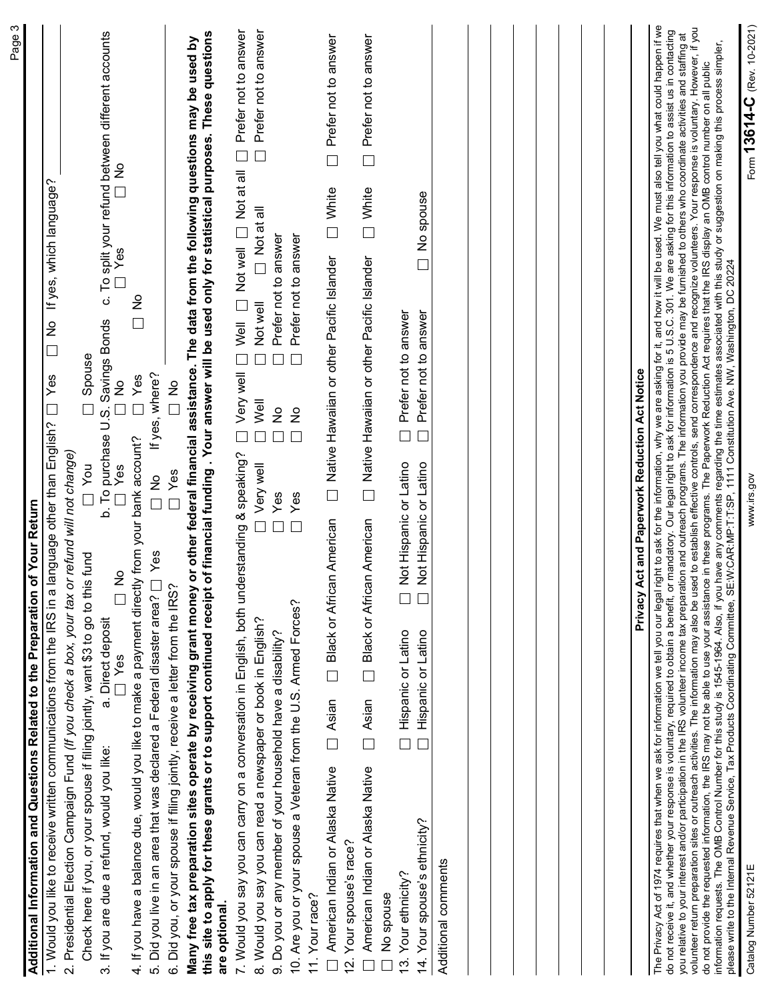| c. To split your refund between different accounts $\square$ Yes<br>If yes, which language?<br>e<br>□<br>b. To purchase U.S. Savings Bonds<br>$\frac{8}{1}$<br>Spouse<br>Yes<br>If yes, where?<br>∏Yes<br>ž<br>$rac{6}{1}$<br>1. Would you like to receive written communications from the IRS in a language other than English? $\Box$<br>4. If you have a balance due, would you like to make a payment directly from your bank account?<br>2. Presidential Election Campaign Fund (If you check a box, your tax or refund will not change)<br>You<br>Yes<br>Yes<br>ž<br>Return<br>Additional Information and Questions Related to the Preparation of Your<br>Check here if you, or your spouse if filing jointly, want \$3 to go to this fund<br>Yes<br>ž<br>Did you live in an area that was declared a Federal disaster area? [<br>Did you, or your spouse if filing jointly, receive a letter from the IRS?<br>ᆸ<br>a. Direct deposit<br>Yes<br>ᄂ<br>3. If you are due a refund, would you like:<br>.<br>@<br>ιó |
|------------------------------------------------------------------------------------------------------------------------------------------------------------------------------------------------------------------------------------------------------------------------------------------------------------------------------------------------------------------------------------------------------------------------------------------------------------------------------------------------------------------------------------------------------------------------------------------------------------------------------------------------------------------------------------------------------------------------------------------------------------------------------------------------------------------------------------------------------------------------------------------------------------------------------------------------------------------------------------------------------------------------|
|                                                                                                                                                                                                                                                                                                                                                                                                                                                                                                                                                                                                                                                                                                                                                                                                                                                                                                                                                                                                                        |
|                                                                                                                                                                                                                                                                                                                                                                                                                                                                                                                                                                                                                                                                                                                                                                                                                                                                                                                                                                                                                        |
|                                                                                                                                                                                                                                                                                                                                                                                                                                                                                                                                                                                                                                                                                                                                                                                                                                                                                                                                                                                                                        |
| this site to apply for these grants or to support continued receipt of financial funding. Your answer will be used only for statistical purposes. These questions<br>Many free tax preparation sites operate by receiving grant money or other federal financial assistance. The data from the following questions may be used by<br>are optional.                                                                                                                                                                                                                                                                                                                                                                                                                                                                                                                                                                                                                                                                     |
| Prefer not to answer<br>Not well Not at all<br>Very well D Well<br>$\Box$<br>ing & speaking?<br>7. Would you say you can carry on a conversation in English, both understand                                                                                                                                                                                                                                                                                                                                                                                                                                                                                                                                                                                                                                                                                                                                                                                                                                           |
| $\Box$ Prefer not to answer<br>$\Box$ Not at all<br>Prefer not to answer<br>Not well<br>$\Box$<br>$\Box$<br>Well<br>$\frac{1}{2}$<br>$\Box$<br>$\Box$<br>Very well<br>Yes<br>$\Box$<br>$\Box$<br>8. Would you say you can read a newspaper or book in English?<br>9. Do you or any member of your household have a disability?                                                                                                                                                                                                                                                                                                                                                                                                                                                                                                                                                                                                                                                                                         |
| Prefer not to answer<br>$\boxed{\phantom{a}}$<br>ş<br>Yes<br>10. Are you or your spouse a Veteran from the U.S. Armed Forces?                                                                                                                                                                                                                                                                                                                                                                                                                                                                                                                                                                                                                                                                                                                                                                                                                                                                                          |
| $\Box$ Prefer not to answer<br>$\Box$ White<br>Mative Hawaiian or other Pacific Islander<br><b>Black or African American</b><br>$\Box$ Asian<br>American Indian or Alaska Native<br>11. Your race?                                                                                                                                                                                                                                                                                                                                                                                                                                                                                                                                                                                                                                                                                                                                                                                                                     |
| Your spouse's race?<br><u>isi</u>                                                                                                                                                                                                                                                                                                                                                                                                                                                                                                                                                                                                                                                                                                                                                                                                                                                                                                                                                                                      |
| $\Box$ Prefer not to answer<br>$\Box$ White<br>$\Box$ Native Hawaiian or other Pacific Islander<br><b>Diack or African American</b><br>$\Box$ Asian<br>American Indian or Alaska Native                                                                                                                                                                                                                                                                                                                                                                                                                                                                                                                                                                                                                                                                                                                                                                                                                                |
| Prefer not to answer<br>$\Box$<br>Not Hispanic or Latino<br>Hispanic or Latino<br>$\Box$<br>Your ethnicity?<br>No spouse<br>$\tilde{\omega}$                                                                                                                                                                                                                                                                                                                                                                                                                                                                                                                                                                                                                                                                                                                                                                                                                                                                           |
| No spouse<br>Prefer not to answer<br>$\Box$<br>$\Box$ Not Hispanic or Latino<br>$\Box$ Not Hispanic or Latino<br>Hispanic or Latino<br>14. Your spouse's ethnicity?<br>Additional comments                                                                                                                                                                                                                                                                                                                                                                                                                                                                                                                                                                                                                                                                                                                                                                                                                             |
|                                                                                                                                                                                                                                                                                                                                                                                                                                                                                                                                                                                                                                                                                                                                                                                                                                                                                                                                                                                                                        |
|                                                                                                                                                                                                                                                                                                                                                                                                                                                                                                                                                                                                                                                                                                                                                                                                                                                                                                                                                                                                                        |
|                                                                                                                                                                                                                                                                                                                                                                                                                                                                                                                                                                                                                                                                                                                                                                                                                                                                                                                                                                                                                        |
| Privacy Act and Paperwork Reduction Act Notice                                                                                                                                                                                                                                                                                                                                                                                                                                                                                                                                                                                                                                                                                                                                                                                                                                                                                                                                                                         |
| The Privacy Act of 1974 requires that when we ask for information we tell you our legal right o ask for the information, why we are asking for it, and how it will be used. We must also tell you what could happen if we<br>do n                                                                                                                                                                                                                                                                                                                                                                                                                                                                                                                                                                                                                                                                                                                                                                                      |
|                                                                                                                                                                                                                                                                                                                                                                                                                                                                                                                                                                                                                                                                                                                                                                                                                                                                                                                                                                                                                        |